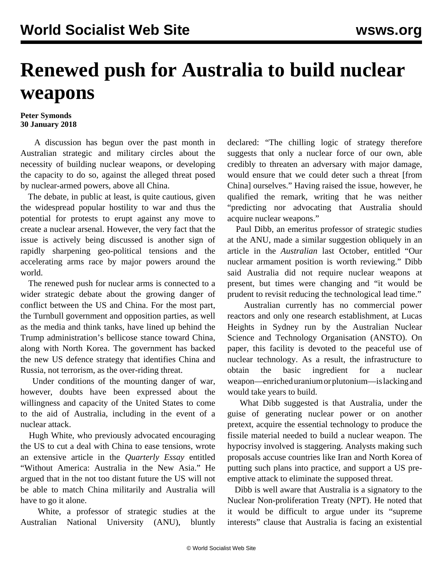## **Renewed push for Australia to build nuclear weapons**

## **Peter Symonds 30 January 2018**

 A discussion has begun over the past month in Australian strategic and military circles about the necessity of building nuclear weapons, or developing the capacity to do so, against the alleged threat posed by nuclear-armed powers, above all China.

 The debate, in public at least, is quite cautious, given the widespread popular hostility to war and thus the potential for protests to erupt against any move to create a nuclear arsenal. However, the very fact that the issue is actively being discussed is another sign of rapidly sharpening geo-political tensions and the accelerating arms race by major powers around the world.

 The renewed push for nuclear arms is connected to a wider strategic debate about the growing danger of conflict between the US and China. For the most part, the Turnbull government and opposition parties, as well as the media and think tanks, have lined up behind the Trump administration's bellicose stance toward China, along with North Korea. The government has backed the new US defence strategy that identifies China and Russia, not terrorism, as the over-riding threat.

 Under conditions of the mounting danger of war, however, doubts have been expressed about the willingness and capacity of the United States to come to the aid of Australia, including in the event of a nuclear attack.

 Hugh White, who previously advocated encouraging the US to cut a deal with China to ease tensions, wrote an extensive article in the *Quarterly Essay* entitled "Without America: Australia in the New Asia." He argued that in the not too distant future the US will not be able to match China militarily and Australia will have to go it alone.

 White, a professor of strategic studies at the Australian National University (ANU), bluntly declared: "The chilling logic of strategy therefore suggests that only a nuclear force of our own, able credibly to threaten an adversary with major damage, would ensure that we could deter such a threat [from China] ourselves." Having raised the issue, however, he qualified the remark, writing that he was neither "predicting nor advocating that Australia should acquire nuclear weapons."

 Paul Dibb, an emeritus professor of strategic studies at the ANU, made a similar suggestion obliquely in an article in the *Australian* last October, entitled "Our nuclear armament position is worth reviewing." Dibb said Australia did not require nuclear weapons at present, but times were changing and "it would be prudent to revisit reducing the technological lead time."

 Australian currently has no commercial power reactors and only one research establishment, at Lucas Heights in Sydney run by the Australian Nuclear Science and Technology Organisation (ANSTO). On paper, this facility is devoted to the peaceful use of nuclear technology. As a result, the infrastructure to obtain the basic ingredient for a nuclear weapon—enriched uranium or plutonium—is lacking and would take years to build.

 What Dibb suggested is that Australia, under the guise of generating nuclear power or on another pretext, acquire the essential technology to produce the fissile material needed to build a nuclear weapon. The hypocrisy involved is staggering. Analysts making such proposals accuse countries like Iran and North Korea of putting such plans into practice, and support a US preemptive attack to eliminate the supposed threat.

 Dibb is well aware that Australia is a signatory to the Nuclear Non-proliferation Treaty (NPT). He noted that it would be difficult to argue under its "supreme interests" clause that Australia is facing an existential